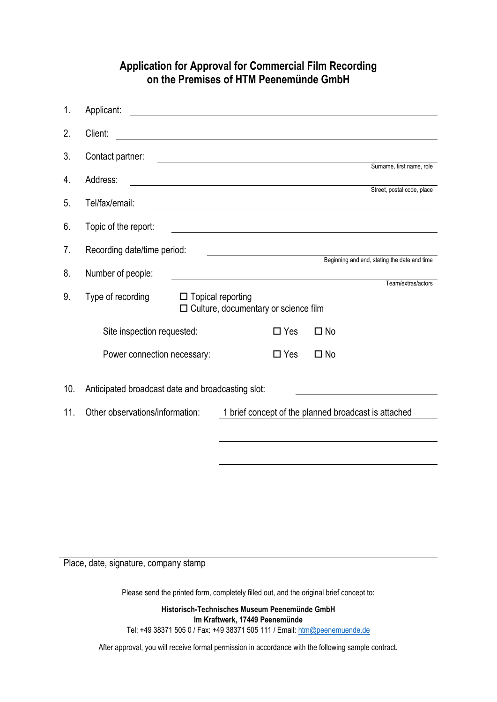## **Application for Approval for Commercial Film Recording on the Premises of HTM Peenemünde GmbH**

| 1.  | Applicant:                                                                                                                                                                                                                                      |            |                                              |  |
|-----|-------------------------------------------------------------------------------------------------------------------------------------------------------------------------------------------------------------------------------------------------|------------|----------------------------------------------|--|
| 2.  | Client:                                                                                                                                                                                                                                         |            |                                              |  |
| 3.  | Contact partner:                                                                                                                                                                                                                                |            |                                              |  |
| 4.  | Address:                                                                                                                                                                                                                                        |            | Surname, first name, role                    |  |
| 5.  | Tel/fax/email:<br>the control of the control of the control of the control of the control of the control of the control of the control of the control of the control of the control of the control of the control of the control of the control |            | Street, postal code, place                   |  |
| 6.  | Topic of the report:<br><u> 1989 - Johann Stoff, deutscher Stoffen und der Stoffen und der Stoffen und der Stoffen und der Stoffen und der</u>                                                                                                  |            |                                              |  |
| 7.  | Recording date/time period:                                                                                                                                                                                                                     |            | Beginning and end, stating the date and time |  |
| 8.  | Number of people:<br><u> 1989 - Johann John Stone, Amerikaansk politiker (</u>                                                                                                                                                                  |            |                                              |  |
| 9.  | Type of recording<br>$\Box$ Topical reporting<br>□ Culture, documentary or science film                                                                                                                                                         |            | Team/extras/actors                           |  |
|     | Site inspection requested:                                                                                                                                                                                                                      | $\Box$ Yes | $\square$ No                                 |  |
|     | Power connection necessary:                                                                                                                                                                                                                     | $\Box$ Yes | $\square$ No                                 |  |
| 10. | Anticipated broadcast date and broadcasting slot:                                                                                                                                                                                               |            |                                              |  |
| 11. | Other observations/information:<br>1 brief concept of the planned broadcast is attached                                                                                                                                                         |            |                                              |  |
|     |                                                                                                                                                                                                                                                 |            |                                              |  |

Place, date, signature, company stamp

Please send the printed form, completely filled out, and the original brief concept to:

**Historisch-Technisches Museum Peenemünde GmbH Im Kraftwerk, 17449 Peenemünde** Tel: +49 38371 505 0 / Fax: +49 38371 505 111 / Email: [htm@peenemuende.de](mailto:htm@peenemuende.de)

After approval, you will receive formal permission in accordance with the following sample contract.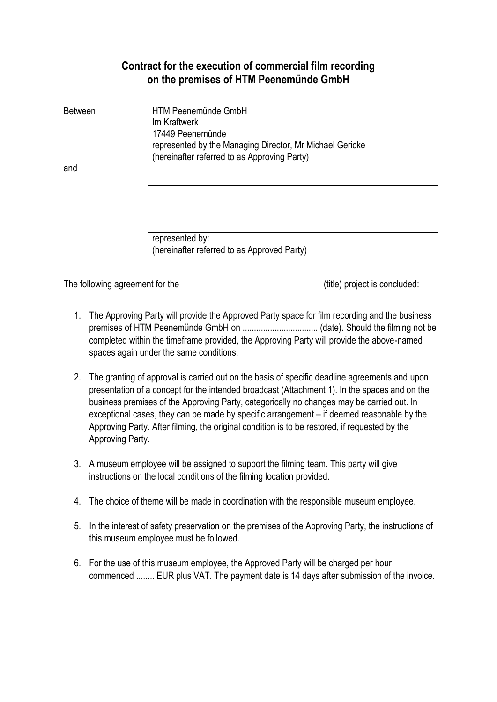## **Contract for the execution of commercial film recording on the premises of HTM Peenemünde GmbH**

| <b>Between</b>                  | HTM Peenemünde GmbH<br>Im Kraftwerk<br>17449 Peenemünde<br>represented by the Managing Director, Mr Michael Gericke<br>(hereinafter referred to as Approving Party) |                               |
|---------------------------------|---------------------------------------------------------------------------------------------------------------------------------------------------------------------|-------------------------------|
| and                             |                                                                                                                                                                     |                               |
|                                 |                                                                                                                                                                     |                               |
|                                 |                                                                                                                                                                     |                               |
|                                 | represented by:<br>(hereinafter referred to as Approved Party)                                                                                                      |                               |
| The following agreement for the |                                                                                                                                                                     | (title) project is concluded: |

- 1. The Approving Party will provide the Approved Party space for film recording and the business premises of HTM Peenemünde GmbH on ................................. (date). Should the filming not be completed within the timeframe provided, the Approving Party will provide the above-named spaces again under the same conditions.
- 2. The granting of approval is carried out on the basis of specific deadline agreements and upon presentation of a concept for the intended broadcast (Attachment 1). In the spaces and on the business premises of the Approving Party, categorically no changes may be carried out. In exceptional cases, they can be made by specific arrangement – if deemed reasonable by the Approving Party. After filming, the original condition is to be restored, if requested by the Approving Party.
- 3. A museum employee will be assigned to support the filming team. This party will give instructions on the local conditions of the filming location provided.
- 4. The choice of theme will be made in coordination with the responsible museum employee.
- 5. In the interest of safety preservation on the premises of the Approving Party, the instructions of this museum employee must be followed.
- 6. For the use of this museum employee, the Approved Party will be charged per hour commenced ........ EUR plus VAT. The payment date is 14 days after submission of the invoice.